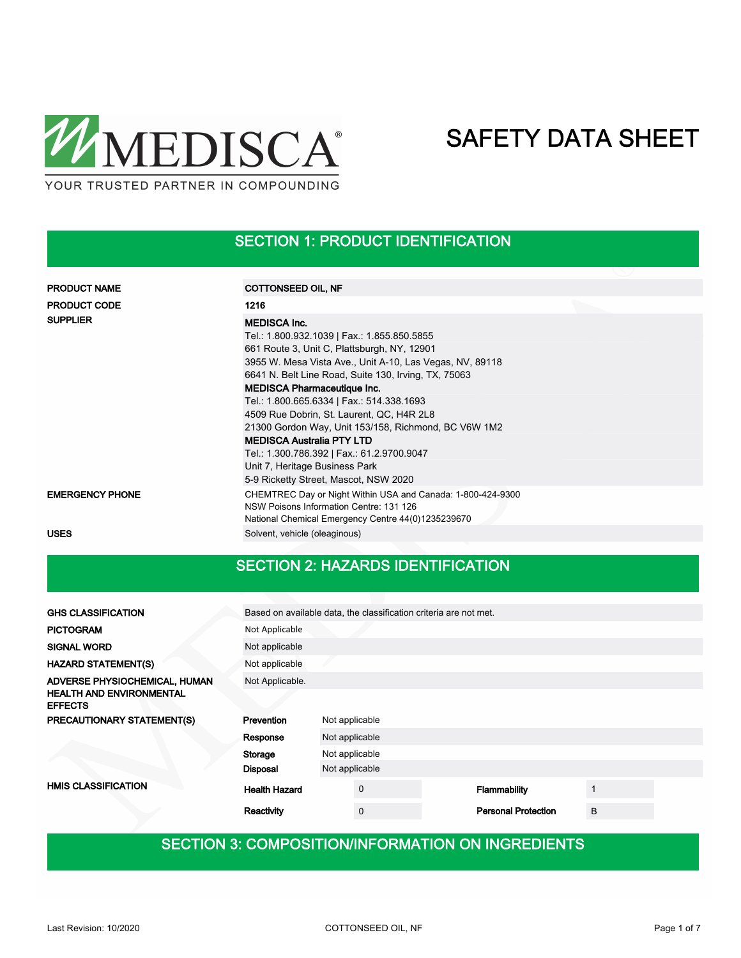

## SECTION 1: PRODUCT IDENTIFICATION

| <b>PRODUCT NAME</b>    | COTTONSEED OIL, NF                                                                                                                                           |  |  |  |  |
|------------------------|--------------------------------------------------------------------------------------------------------------------------------------------------------------|--|--|--|--|
| <b>PRODUCT CODE</b>    | 1216                                                                                                                                                         |  |  |  |  |
| <b>SUPPLIER</b>        | <b>MEDISCA Inc.</b>                                                                                                                                          |  |  |  |  |
|                        | Tel.: 1.800.932.1039   Fax.: 1.855.850.5855                                                                                                                  |  |  |  |  |
|                        | 661 Route 3, Unit C, Plattsburgh, NY, 12901                                                                                                                  |  |  |  |  |
|                        | 3955 W. Mesa Vista Ave., Unit A-10, Las Vegas, NV, 89118                                                                                                     |  |  |  |  |
|                        | 6641 N. Belt Line Road, Suite 130, Irving, TX, 75063                                                                                                         |  |  |  |  |
|                        | <b>MEDISCA Pharmaceutique Inc.</b>                                                                                                                           |  |  |  |  |
|                        | Tel.: 1.800.665.6334   Fax.: 514.338.1693                                                                                                                    |  |  |  |  |
|                        | 4509 Rue Dobrin, St. Laurent, QC, H4R 2L8                                                                                                                    |  |  |  |  |
|                        | 21300 Gordon Way, Unit 153/158, Richmond, BC V6W 1M2                                                                                                         |  |  |  |  |
|                        | <b>MEDISCA Australia PTY LTD</b>                                                                                                                             |  |  |  |  |
|                        | Tel.: 1.300.786.392   Fax.: 61.2.9700.9047                                                                                                                   |  |  |  |  |
|                        | Unit 7, Heritage Business Park                                                                                                                               |  |  |  |  |
|                        | 5-9 Ricketty Street, Mascot, NSW 2020                                                                                                                        |  |  |  |  |
| <b>EMERGENCY PHONE</b> | CHEMTREC Day or Night Within USA and Canada: 1-800-424-9300<br>NSW Poisons Information Centre: 131 126<br>National Chemical Emergency Centre 44(0)1235239670 |  |  |  |  |
| <b>USES</b>            | Solvent, vehicle (oleaginous)                                                                                                                                |  |  |  |  |

## SECTION 2: HAZARDS IDENTIFICATION

| <b>GHS CLASSIFICATION</b>                         | Based on available data, the classification criteria are not met. |                                  |             |  |                            |   |  |
|---------------------------------------------------|-------------------------------------------------------------------|----------------------------------|-------------|--|----------------------------|---|--|
| <b>PICTOGRAM</b>                                  | Not Applicable                                                    |                                  |             |  |                            |   |  |
| <b>SIGNAL WORD</b>                                | Not applicable                                                    |                                  |             |  |                            |   |  |
| <b>HAZARD STATEMENT(S)</b>                        | Not applicable                                                    |                                  |             |  |                            |   |  |
| ADVERSE PHYSIOCHEMICAL, HUMAN                     | Not Applicable.                                                   |                                  |             |  |                            |   |  |
| <b>HEALTH AND ENVIRONMENTAL</b><br><b>EFFECTS</b> |                                                                   |                                  |             |  |                            |   |  |
| PRECAUTIONARY STATEMENT(S)                        | Prevention<br>Not applicable                                      |                                  |             |  |                            |   |  |
|                                                   | Response                                                          | Not applicable<br>Not applicable |             |  |                            |   |  |
|                                                   | Storage                                                           |                                  |             |  |                            |   |  |
|                                                   | <b>Disposal</b>                                                   | Not applicable                   |             |  |                            |   |  |
| <b>HMIS CLASSIFICATION</b>                        | <b>Health Hazard</b>                                              |                                  | $\mathbf 0$ |  | Flammability               |   |  |
|                                                   | Reactivity                                                        |                                  | $\mathbf 0$ |  | <b>Personal Protection</b> | B |  |

## SECTION 3: COMPOSITION/INFORMATION ON INGREDIENTS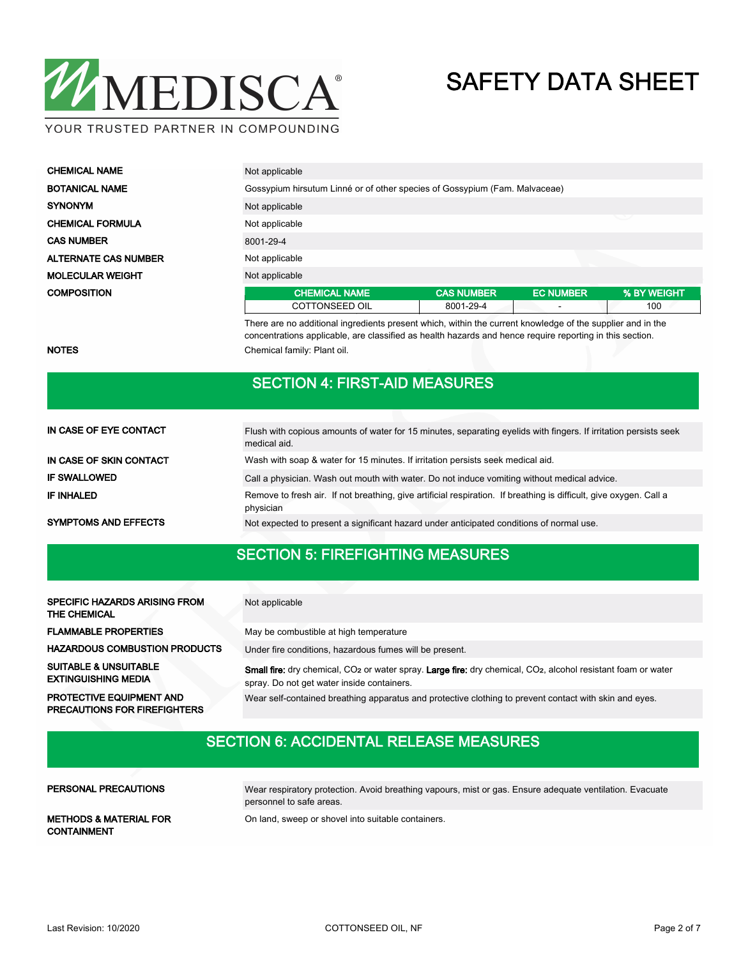

YOUR TRUSTED PARTNER IN COMPOUNDING

| <b>CHEMICAL NAME</b>        | Not applicable                                                             |                   |                          |             |  |
|-----------------------------|----------------------------------------------------------------------------|-------------------|--------------------------|-------------|--|
| <b>BOTANICAL NAME</b>       | Gossypium hirsutum Linné or of other species of Gossypium (Fam. Malvaceae) |                   |                          |             |  |
| <b>SYNONYM</b>              | Not applicable                                                             |                   |                          |             |  |
| <b>CHEMICAL FORMULA</b>     | Not applicable                                                             |                   |                          |             |  |
| <b>CAS NUMBER</b>           | 8001-29-4                                                                  |                   |                          |             |  |
| <b>ALTERNATE CAS NUMBER</b> | Not applicable                                                             |                   |                          |             |  |
| <b>MOLECULAR WEIGHT</b>     | Not applicable                                                             |                   |                          |             |  |
| <b>COMPOSITION</b>          | <b>CHEMICAL NAME</b>                                                       | <b>CAS NUMBER</b> | <b>EC NUMBER</b>         | % BY WEIGHT |  |
|                             | <b>COTTONSEED OIL</b>                                                      | 8001-29-4         | $\overline{\phantom{0}}$ | 100         |  |

NOTES **Chemical family: Plant oil.** 

## SECTION 4: FIRST-AID MEASURES

There are no additional ingredients present which, within the current knowledge of the supplier and in the concentrations applicable, are classified as health hazards and hence require reporting in this section.

| IN CASE OF EYE CONTACT      | Flush with copious amounts of water for 15 minutes, separating eyelids with fingers. If irritation persists seek<br>medical aid. |
|-----------------------------|----------------------------------------------------------------------------------------------------------------------------------|
| IN CASE OF SKIN CONTACT     | Wash with soap & water for 15 minutes. If irritation persists seek medical aid.                                                  |
| <b>IF SWALLOWED</b>         | Call a physician. Wash out mouth with water. Do not induce vomiting without medical advice.                                      |
| IF INHALED                  | Remove to fresh air. If not breathing, give artificial respiration. If breathing is difficult, give oxygen. Call a<br>physician  |
| <b>SYMPTOMS AND EFFECTS</b> | Not expected to present a significant hazard under anticipated conditions of normal use.                                         |

### SECTION 5: FIREFIGHTING MEASURES

| <b>SPECIFIC HAZARDS ARISING FROM</b><br><b>THE CHEMICAL</b>            | Not applicable                                                                                                                                                                      |
|------------------------------------------------------------------------|-------------------------------------------------------------------------------------------------------------------------------------------------------------------------------------|
| <b>FLAMMABLE PROPERTIES</b>                                            | May be combustible at high temperature                                                                                                                                              |
| <b>HAZARDOUS COMBUSTION PRODUCTS</b>                                   | Under fire conditions, hazardous fumes will be present.                                                                                                                             |
| <b>SUITABLE &amp; UNSUITABLE</b><br><b>EXTINGUISHING MEDIA</b>         | Small fire: dry chemical, CO <sub>2</sub> or water spray. Large fire: dry chemical, CO <sub>2</sub> , alcohol resistant foam or water<br>spray. Do not get water inside containers. |
| <b>PROTECTIVE EQUIPMENT AND</b><br><b>PRECAUTIONS FOR FIREFIGHTERS</b> | Wear self-contained breathing apparatus and protective clothing to prevent contact with skin and eyes.                                                                              |

## SECTION 6: ACCIDENTAL RELEASE MEASURES

| PERSONAL PRECAUTIONS                                    | Wear respiratory protection. Avoid breathing vapours, mist or gas. Ensure adequate ventilation. Evacuate<br>personnel to safe areas. |
|---------------------------------------------------------|--------------------------------------------------------------------------------------------------------------------------------------|
| <b>METHODS &amp; MATERIAL FOR</b><br><b>CONTAINMENT</b> | On land, sweep or shovel into suitable containers.                                                                                   |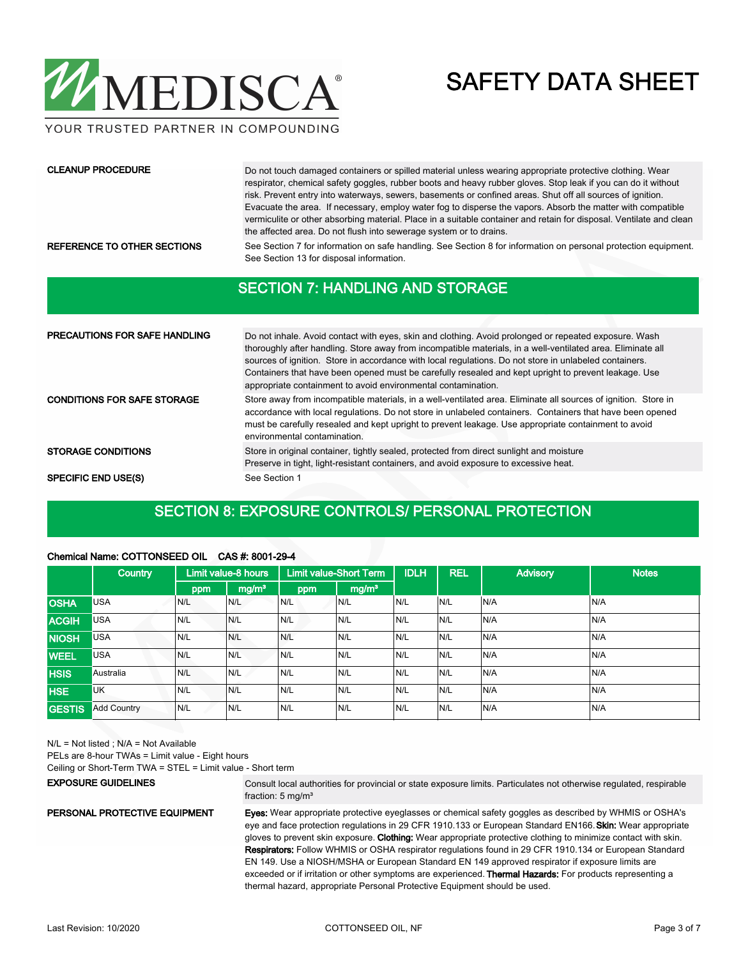

YOUR TRUSTED PARTNER IN COMPOUNDING

#### CLEANUP PROCEDURE

Do not touch damaged containers or spilled material unless wearing appropriate protective clothing. Wear respirator, chemical safety goggles, rubber boots and heavy rubber gloves. Stop leak if you can do it without risk. Prevent entry into waterways, sewers, basements or confined areas. Shut off all sources of ignition. Evacuate the area. If necessary, employ water fog to disperse the vapors. Absorb the matter with compatible vermiculite or other absorbing material. Place in a suitable container and retain for disposal. Ventilate and clean the affected area. Do not flush into sewerage system or to drains.

REFERENCE TO OTHER SECTIONS See Section 7 for information on safe handling. See Section 8 for information on personal protection equipment. See Section 13 for disposal information.

### SECTION 7: HANDLING AND STORAGE

| <b>PRECAUTIONS FOR SAFE HANDLING</b> | Do not inhale. Avoid contact with eyes, skin and clothing. Avoid prolonged or repeated exposure. Wash<br>thoroughly after handling. Store away from incompatible materials, in a well-ventilated area. Eliminate all<br>sources of ignition. Store in accordance with local regulations. Do not store in unlabeled containers.<br>Containers that have been opened must be carefully resealed and kept upright to prevent leakage. Use<br>appropriate containment to avoid environmental contamination. |
|--------------------------------------|---------------------------------------------------------------------------------------------------------------------------------------------------------------------------------------------------------------------------------------------------------------------------------------------------------------------------------------------------------------------------------------------------------------------------------------------------------------------------------------------------------|
| <b>CONDITIONS FOR SAFE STORAGE</b>   | Store away from incompatible materials, in a well-ventilated area. Eliminate all sources of ignition. Store in<br>accordance with local regulations. Do not store in unlabeled containers. Containers that have been opened<br>must be carefully resealed and kept upright to prevent leakage. Use appropriate containment to avoid<br>environmental contamination.                                                                                                                                     |
| <b>STORAGE CONDITIONS</b>            | Store in original container, tightly sealed, protected from direct sunlight and moisture<br>Preserve in tight, light-resistant containers, and avoid exposure to excessive heat.                                                                                                                                                                                                                                                                                                                        |
| <b>SPECIFIC END USE(S)</b>           | See Section 1                                                                                                                                                                                                                                                                                                                                                                                                                                                                                           |

### SECTION 8: EXPOSURE CONTROLS/ PERSONAL PROTECTION

|               | <b>Country</b>     |     | <b>Limit value-8 hours</b> |     | <b>Limit value-Short Term</b> | <b>IDLH</b> | <b>REL</b> | <b>Advisory</b> | <b>Notes</b> |
|---------------|--------------------|-----|----------------------------|-----|-------------------------------|-------------|------------|-----------------|--------------|
|               |                    | ppm | mg/m <sup>3</sup>          | ppm | mg/m <sup>3</sup>             |             |            |                 |              |
| <b>OSHA</b>   | <b>USA</b>         | N/L | N/L                        | N/L | N/L                           | IN/L        | N/L        | N/A             | N/A          |
| <b>ACGIH</b>  | <b>USA</b>         | N/L | N/L                        | N/L | N/L                           | IN/L        | N/L        | N/A             | N/A          |
| <b>NIOSH</b>  | <b>USA</b>         | N/L | N/L                        | N/L | N/L                           | IN/L        | N/L        | N/A             | N/A          |
| <b>WEEL</b>   | <b>USA</b>         | N/L | N/L                        | N/L | N/L                           | IN/L        | N/L        | N/A             | IN/A         |
| <b>HSIS</b>   | Australia          | N/L | N/L                        | N/L | N/L                           | IN/L        | N/L        | N/A             | N/A          |
| <b>HSE</b>    | <b>UK</b>          | N/L | N/L                        | N/L | N/L                           | IN/L        | N/L        | N/A             | N/A          |
| <b>GESTIS</b> | <b>Add Country</b> | N/L | N/L                        | N/L | N/L                           | IN/L        | N/L        | N/A             | N/A          |

#### Chemical Name: COTTONSEED OIL CAS #: 8001-29-4

N/L = Not listed ; N/A = Not Available

PELs are 8-hour TWAs = Limit value - Eight hours

Ceiling or Short-Term TWA = STEL = Limit value - Short term

#### EXPOSURE GUIDELINES

Consult local authorities for provincial or state exposure limits. Particulates not otherwise regulated, respirable fraction: 5 mg/m<sup>3</sup>

#### PERSONAL PROTECTIVE EQUIPMENT

Eyes: Wear appropriate protective eyeglasses or chemical safety goggles as described by WHMIS or OSHA's eye and face protection regulations in 29 CFR 1910.133 or European Standard EN166. Skin: Wear appropriate

gloves to prevent skin exposure. Clothing: Wear appropriate protective clothing to minimize contact with skin. Respirators: Follow WHMIS or OSHA respirator regulations found in 29 CFR 1910.134 or European Standard EN 149. Use a NIOSH/MSHA or European Standard EN 149 approved respirator if exposure limits are exceeded or if irritation or other symptoms are experienced. Thermal Hazards: For products representing a thermal hazard, appropriate Personal Protective Equipment should be used.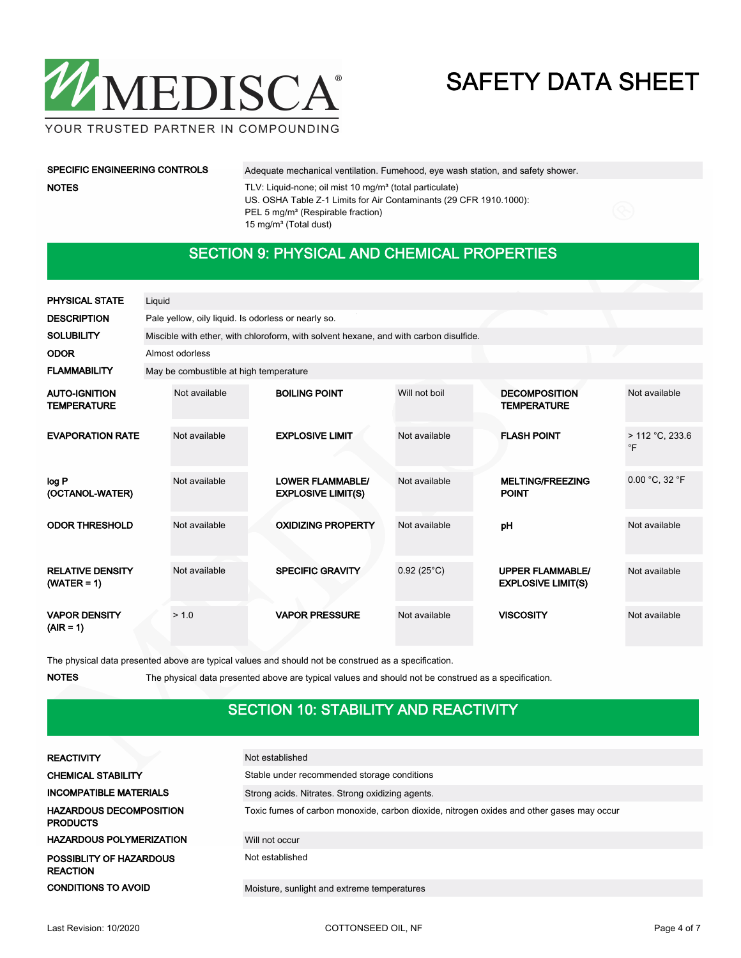

YOUR TRUSTED PARTNER IN COMPOUNDING

## NOTES

SPECIFIC ENGINEERING CONTROLS Adequate mechanical ventilation. Fumehood, eye wash station, and safety shower. TLV: Liquid-none; oil mist 10 mg/m<sup>3</sup> (total particulate)

US. OSHA Table Z-1 Limits for Air Contaminants (29 CFR 1910.1000): PEL 5 mg/m<sup>3</sup> (Respirable fraction) 15 mg/m<sup>3</sup> (Total dust)

### SECTION 9: PHYSICAL AND CHEMICAL PROPERTIES

| <b>PHYSICAL STATE</b>                      | Liquid |                                                     |                                                                                       |                     |                                                      |                                 |  |
|--------------------------------------------|--------|-----------------------------------------------------|---------------------------------------------------------------------------------------|---------------------|------------------------------------------------------|---------------------------------|--|
| <b>DESCRIPTION</b>                         |        | Pale yellow, oily liquid. Is odorless or nearly so. |                                                                                       |                     |                                                      |                                 |  |
| <b>SOLUBILITY</b>                          |        |                                                     | Miscible with ether, with chloroform, with solvent hexane, and with carbon disulfide. |                     |                                                      |                                 |  |
| <b>ODOR</b>                                |        | Almost odorless                                     |                                                                                       |                     |                                                      |                                 |  |
| <b>FLAMMABILITY</b>                        |        | May be combustible at high temperature              |                                                                                       |                     |                                                      |                                 |  |
| <b>AUTO-IGNITION</b><br><b>TEMPERATURE</b> |        | Not available                                       | <b>BOILING POINT</b>                                                                  | Will not boil       | <b>DECOMPOSITION</b><br><b>TEMPERATURE</b>           | Not available                   |  |
| <b>EVAPORATION RATE</b>                    |        | Not available                                       | <b>EXPLOSIVE LIMIT</b>                                                                | Not available       | <b>FLASH POINT</b>                                   | $> 112 °C$ , 233.6<br>$\circ$ F |  |
| log P<br>(OCTANOL-WATER)                   |        | Not available                                       | <b>LOWER FLAMMABLE/</b><br><b>EXPLOSIVE LIMIT(S)</b>                                  | Not available       | <b>MELTING/FREEZING</b><br><b>POINT</b>              | 0.00 °C, 32 °F                  |  |
| <b>ODOR THRESHOLD</b>                      |        | Not available                                       | <b>OXIDIZING PROPERTY</b>                                                             | Not available       | pH                                                   | Not available                   |  |
| <b>RELATIVE DENSITY</b><br>$(WATER = 1)$   |        | Not available                                       | <b>SPECIFIC GRAVITY</b>                                                               | $0.92(25^{\circ}C)$ | <b>UPPER FLAMMABLE/</b><br><b>EXPLOSIVE LIMIT(S)</b> | Not available                   |  |
| <b>VAPOR DENSITY</b><br>$(AIR = 1)$        |        | > 1.0                                               | <b>VAPOR PRESSURE</b>                                                                 | Not available       | <b>VISCOSITY</b>                                     | Not available                   |  |

The physical data presented above are typical values and should not be construed as a specification.

NOTES The physical data presented above are typical values and should not be construed as a specification.

## SECTION 10: STABILITY AND REACTIVITY

| <b>REACTIVITY</b>                                 | Not established                                                                           |
|---------------------------------------------------|-------------------------------------------------------------------------------------------|
| <b>CHEMICAL STABILITY</b>                         | Stable under recommended storage conditions                                               |
| <b>INCOMPATIBLE MATERIALS</b>                     | Strong acids. Nitrates. Strong oxidizing agents.                                          |
| <b>HAZARDOUS DECOMPOSITION</b><br><b>PRODUCTS</b> | Toxic fumes of carbon monoxide, carbon dioxide, nitrogen oxides and other gases may occur |
| <b>HAZARDOUS POLYMERIZATION</b>                   | Will not occur                                                                            |
| POSSIBLITY OF HAZARDOUS<br><b>REACTION</b>        | Not established                                                                           |
| <b>CONDITIONS TO AVOID</b>                        | Moisture, sunlight and extreme temperatures                                               |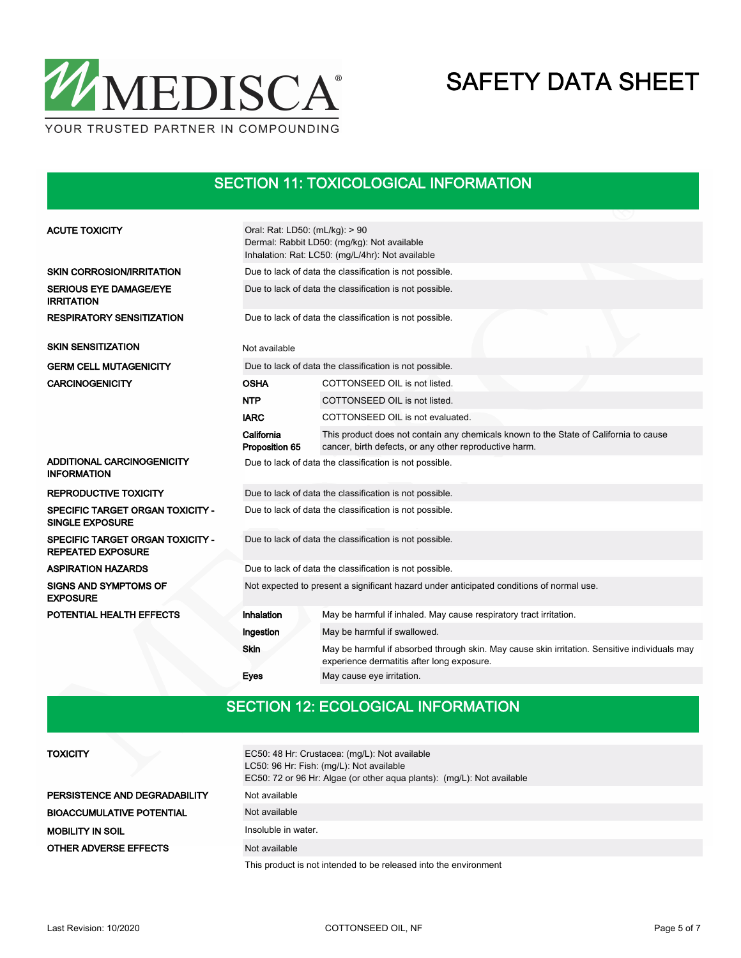

## SECTION 11: TOXICOLOGICAL INFORMATION

| <b>ACUTE TOXICITY</b>                                        | Oral: Rat: LD50: (mL/kg): > 90<br>Dermal: Rabbit LD50: (mg/kg): Not available<br>Inhalation: Rat: LC50: (mg/L/4hr): Not available |                                                                                                                                                 |  |  |  |  |  |
|--------------------------------------------------------------|-----------------------------------------------------------------------------------------------------------------------------------|-------------------------------------------------------------------------------------------------------------------------------------------------|--|--|--|--|--|
| <b>SKIN CORROSION/IRRITATION</b>                             | Due to lack of data the classification is not possible.                                                                           |                                                                                                                                                 |  |  |  |  |  |
| <b>SERIOUS EYE DAMAGE/EYE</b><br><b>IRRITATION</b>           | Due to lack of data the classification is not possible.                                                                           |                                                                                                                                                 |  |  |  |  |  |
| <b>RESPIRATORY SENSITIZATION</b>                             | Due to lack of data the classification is not possible.                                                                           |                                                                                                                                                 |  |  |  |  |  |
| <b>SKIN SENSITIZATION</b>                                    | Not available                                                                                                                     |                                                                                                                                                 |  |  |  |  |  |
| <b>GERM CELL MUTAGENICITY</b>                                |                                                                                                                                   | Due to lack of data the classification is not possible.                                                                                         |  |  |  |  |  |
| <b>CARCINOGENICITY</b>                                       | <b>OSHA</b>                                                                                                                       | COTTONSEED OIL is not listed.                                                                                                                   |  |  |  |  |  |
|                                                              | <b>NTP</b>                                                                                                                        | COTTONSEED OIL is not listed.                                                                                                                   |  |  |  |  |  |
|                                                              | <b>IARC</b>                                                                                                                       | COTTONSEED OIL is not evaluated.                                                                                                                |  |  |  |  |  |
|                                                              | California<br>Proposition 65                                                                                                      | This product does not contain any chemicals known to the State of California to cause<br>cancer, birth defects, or any other reproductive harm. |  |  |  |  |  |
| ADDITIONAL CARCINOGENICITY<br><b>INFORMATION</b>             | Due to lack of data the classification is not possible.                                                                           |                                                                                                                                                 |  |  |  |  |  |
| <b>REPRODUCTIVE TOXICITY</b>                                 | Due to lack of data the classification is not possible.                                                                           |                                                                                                                                                 |  |  |  |  |  |
| SPECIFIC TARGET ORGAN TOXICITY -<br><b>SINGLE EXPOSURE</b>   | Due to lack of data the classification is not possible.                                                                           |                                                                                                                                                 |  |  |  |  |  |
| SPECIFIC TARGET ORGAN TOXICITY -<br><b>REPEATED EXPOSURE</b> | Due to lack of data the classification is not possible.                                                                           |                                                                                                                                                 |  |  |  |  |  |
| <b>ASPIRATION HAZARDS</b>                                    |                                                                                                                                   | Due to lack of data the classification is not possible.                                                                                         |  |  |  |  |  |
| <b>SIGNS AND SYMPTOMS OF</b><br><b>EXPOSURE</b>              | Not expected to present a significant hazard under anticipated conditions of normal use.                                          |                                                                                                                                                 |  |  |  |  |  |
| POTENTIAL HEALTH EFFECTS                                     | Inhalation                                                                                                                        | May be harmful if inhaled. May cause respiratory tract irritation.                                                                              |  |  |  |  |  |
|                                                              | Ingestion                                                                                                                         | May be harmful if swallowed.                                                                                                                    |  |  |  |  |  |
|                                                              | <b>Skin</b>                                                                                                                       | May be harmful if absorbed through skin. May cause skin irritation. Sensitive individuals may<br>experience dermatitis after long exposure.     |  |  |  |  |  |
|                                                              | Eyes                                                                                                                              | May cause eye irritation.                                                                                                                       |  |  |  |  |  |

## SECTION 12: ECOLOGICAL INFORMATION

| <b>TOXICITY</b>                  | EC50: 48 Hr: Crustacea: (mg/L): Not available<br>LC50: 96 Hr: Fish: (mg/L): Not available<br>EC50: 72 or 96 Hr: Algae (or other aqua plants): (mg/L): Not available |
|----------------------------------|---------------------------------------------------------------------------------------------------------------------------------------------------------------------|
| PERSISTENCE AND DEGRADABILITY    | Not available                                                                                                                                                       |
| <b>BIOACCUMULATIVE POTENTIAL</b> | Not available                                                                                                                                                       |
| <b>MOBILITY IN SOIL</b>          | Insoluble in water.                                                                                                                                                 |
| <b>OTHER ADVERSE EFFECTS</b>     | Not available                                                                                                                                                       |
|                                  | This case directly and interested in the following and interest and the state discovery and                                                                         |

This product is not intended to be released into the environment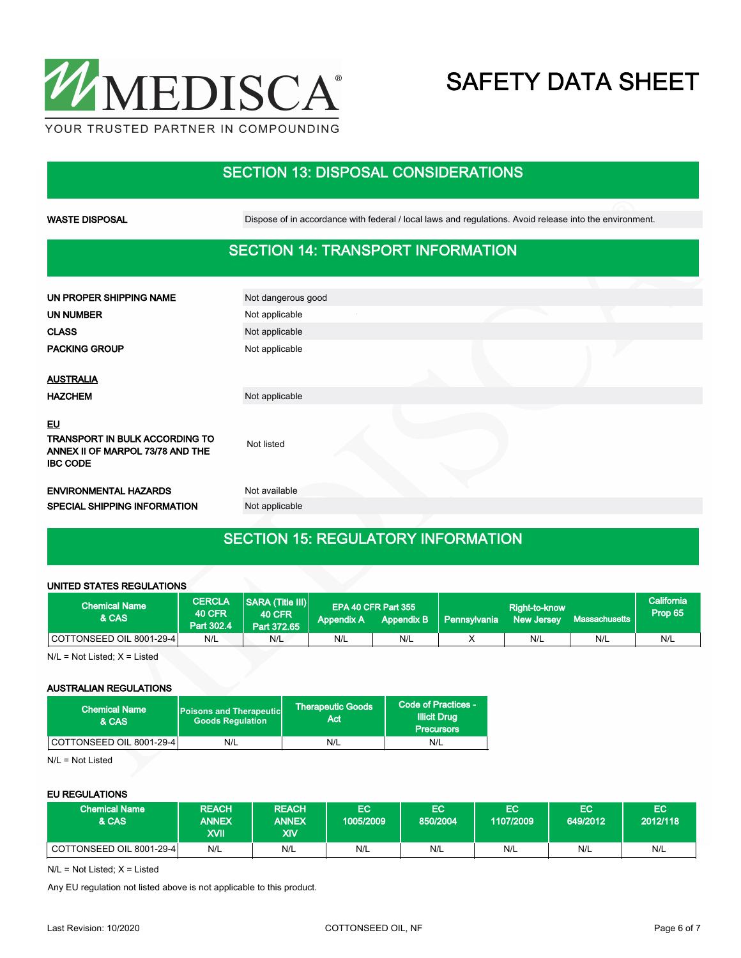

## SECTION 13: DISPOSAL CONSIDERATIONS

WASTE DISPOSAL **Dispose of in accordance with federal / local laws and regulations**. Avoid release into the environment.

## SECTION 14: TRANSPORT INFORMATION

| UN PROPER SHIPPING NAME                                                                            | Not dangerous good |  |
|----------------------------------------------------------------------------------------------------|--------------------|--|
| UN NUMBER                                                                                          | Not applicable     |  |
| <b>CLASS</b>                                                                                       | Not applicable     |  |
| <b>PACKING GROUP</b>                                                                               | Not applicable     |  |
|                                                                                                    |                    |  |
| <b>AUSTRALIA</b>                                                                                   |                    |  |
| <b>HAZCHEM</b>                                                                                     | Not applicable     |  |
| <u>EU</u><br>TRANSPORT IN BULK ACCORDING TO<br>ANNEX II OF MARPOL 73/78 AND THE<br><b>IBC CODE</b> | Not listed         |  |
| <b>ENVIRONMENTAL HAZARDS</b>                                                                       | Not available      |  |
| SPECIAL SHIPPING INFORMATION                                                                       | Not applicable     |  |
|                                                                                                    |                    |  |

## SECTION 15: REGULATORY INFORMATION

#### UNITED STATES REGULATIONS

| <b>Chemical Name</b><br>& CAS | <b>CERCLA</b><br><b>40 CFR</b><br>Part 302.4 | <b>SARA (Title III)</b><br><b>40 CFR</b><br>Part 372.65 | <b>Appendix A</b> | EPA 40 CFR Part 355<br><b>Appendix B</b> | Pennsylvania | Right-to-know<br><b>New Jersey</b> | Massachusetts | California <sup>1</sup><br>Prop 65 |
|-------------------------------|----------------------------------------------|---------------------------------------------------------|-------------------|------------------------------------------|--------------|------------------------------------|---------------|------------------------------------|
| COTTONSEED OIL 8001-29-4      | N/L                                          | N/L                                                     | N/L               | N/L                                      |              | N/L                                | N/L           | N/L                                |

 $N/L = Not$  Listed;  $X =$  Listed

#### AUSTRALIAN REGULATIONS

| <b>Chemical Name</b><br>& CAS | <b>Poisons and Therapeutic</b><br><b>Goods Requlation</b> | Therapeutic Goods<br>Act | Code of Practices -<br><b>Illicit Drug</b><br><b>Precursors</b> |
|-------------------------------|-----------------------------------------------------------|--------------------------|-----------------------------------------------------------------|
| COTTONSEED OIL 8001-29-4      | N/L                                                       | N/L                      | N/L                                                             |

N/L = Not Listed

#### EU REGULATIONS

| <b>Chemical Name</b><br><b>&amp; CAS</b> | <b>REACH</b><br><b>ANNEX</b><br>XVII | <b>REACH</b><br><b>ANNEX</b><br>XIV | EC<br>1005/2009 | <b>EC</b><br>850/2004 | EС<br>1107/2009 | EC<br>649/2012 | EC<br>12012/118 |
|------------------------------------------|--------------------------------------|-------------------------------------|-----------------|-----------------------|-----------------|----------------|-----------------|
| COTTONSEED OIL 8001-29-4                 | N/L                                  | N/L                                 | N/L             | N/L                   | N/L             | N/L            | N/L             |

N/L = Not Listed; X = Listed

Any EU regulation not listed above is not applicable to this product.